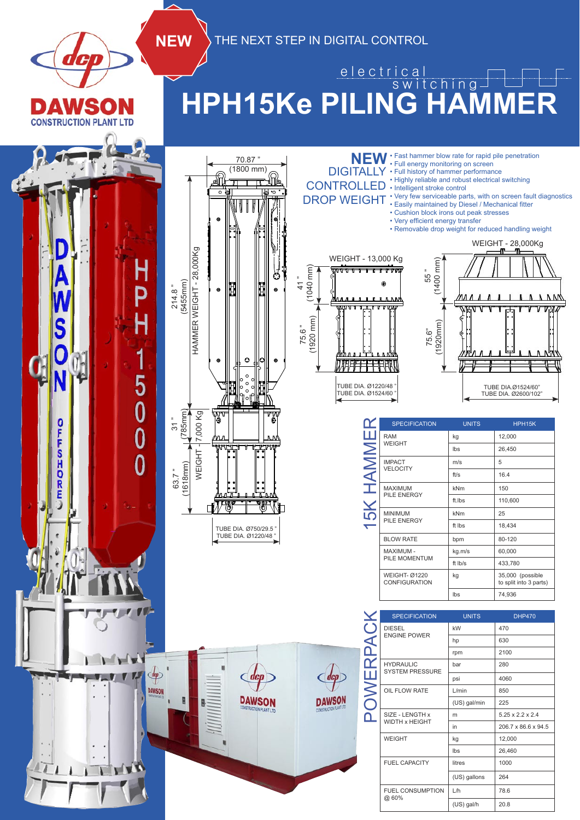

**NEW** THE NEXT STEP IN DIGITAL CONTROL

## **HPH15Ke PILING HAMMER** e l e ctrical switching